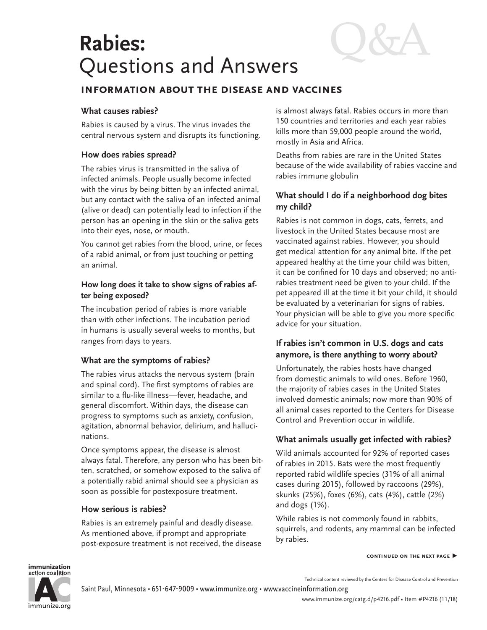# **Rabies:** Questions and Answers

Q&A

# **information about the disease and vaccines**

#### **What causes rabies?**

Rabies is caused by a virus. The virus invades the central nervous system and disrupts its functioning.

## **How does rabies spread?**

The rabies virus is transmitted in the saliva of infected animals. People usually become infected with the virus by being bitten by an infected animal, but any contact with the saliva of an infected animal (alive or dead) can potentially lead to infection if the person has an opening in the skin or the saliva gets into their eyes, nose, or mouth.

You cannot get rabies from the blood, urine, or feces of a rabid animal, or from just touching or petting an animal.

## **How long does it take to show signs of rabies after being exposed?**

The incubation period of rabies is more variable than with other infections. The incubation period in humans is usually several weeks to months, but ranges from days to years.

## **What are the symptoms of rabies?**

The rabies virus attacks the nervous system (brain and spinal cord). The first symptoms of rabies are similar to a flu-like illness—fever, headache, and general discomfort. Within days, the disease can progress to symptoms such as anxiety, confusion, agitation, abnormal behavior, delirium, and hallucinations.

Once symptoms appear, the disease is almost always fatal. Therefore, any person who has been bitten, scratched, or somehow exposed to the saliva of a potentially rabid animal should see a physician as soon as possible for postexposure treatment.

#### **How serious is rabies?**

Rabies is an extremely painful and deadly disease. As mentioned above, if prompt and appropriate post-exposure treatment is not received, the disease is almost always fatal. Rabies occurs in more than 150 countries and territories and each year rabies kills more than 59,000 people around the world, mostly in Asia and Africa.

Deaths from rabies are rare in the United States because of the wide availability of rabies vaccine and rabies immune globulin

# **What should I do if a neighborhood dog bites my child?**

Rabies is not common in dogs, cats, ferrets, and livestock in the United States because most are vaccinated against rabies. However, you should get medical attention for any animal bite. If the pet appeared healthy at the time your child was bitten, it can be confined for 10 days and observed; no antirabies treatment need be given to your child. If the pet appeared ill at the time it bit your child, it should be evaluated by a veterinarian for signs of rabies. Your physician will be able to give you more specific advice for your situation.

## **If rabies isn't common in U.S. dogs and cats anymore, is there anything to worry about?**

Unfortunately, the rabies hosts have changed from domestic animals to wild ones. Before 1960, the majority of rabies cases in the United States involved domestic animals; now more than 90% of all animal cases reported to the Centers for Disease Control and Prevention occur in wildlife.

## **What animals usually get infected with rabies?**

Wild animals accounted for 92% of reported cases of rabies in 2015. Bats were the most frequently reported rabid wildlife species (31% of all animal cases during 2015), followed by raccoons (29%), skunks (25%), foxes (6%), cats (4%), cattle (2%) and dogs (1%).

While rabies is not commonly found in rabbits, squirrels, and rodents, any mammal can be infected by rabies.

#### **continued on the next page ▶**

#### immunization action coalition



Technical content reviewed by the Centers for Disease Control and Prevention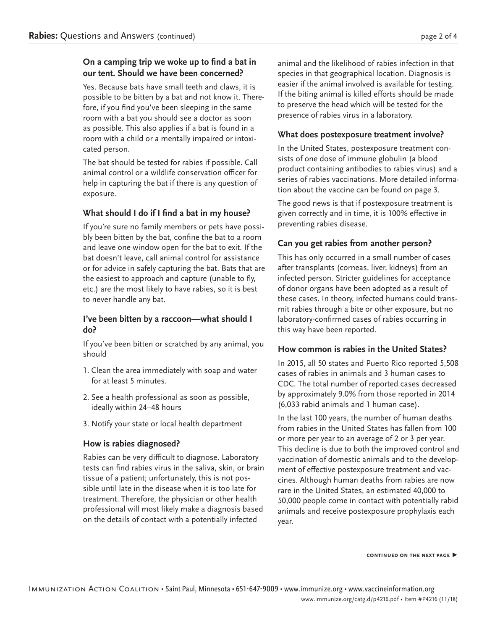# **On a camping trip we woke up to find a bat in our tent. Should we have been concerned?**

Yes. Because bats have small teeth and claws, it is possible to be bitten by a bat and not know it. Therefore, if you find you've been sleeping in the same room with a bat you should see a doctor as soon as possible. This also applies if a bat is found in a room with a child or a mentally impaired or intoxicated person.

The bat should be tested for rabies if possible. Call animal control or a wildlife conservation officer for help in capturing the bat if there is any question of exposure.

## **What should I do if I find a bat in my house?**

If you're sure no family members or pets have possibly been bitten by the bat, confine the bat to a room and leave one window open for the bat to exit. If the bat doesn't leave, call animal control for assistance or for advice in safely capturing the bat. Bats that are the easiest to approach and capture (unable to fly, etc.) are the most likely to have rabies, so it is best to never handle any bat.

#### **I've been bitten by a raccoon—what should I do?**

If you've been bitten or scratched by any animal, you should

- 1. Clean the area immediately with soap and water for at least 5 minutes.
- 2. See a health professional as soon as possible, ideally within 24–48 hours
- 3. Notify your state or local health department

# **How is rabies diagnosed?**

Rabies can be very difficult to diagnose. Laboratory tests can find rabies virus in the saliva, skin, or brain tissue of a patient; unfortunately, this is not possible until late in the disease when it is too late for treatment. Therefore, the physician or other health professional will most likely make a diagnosis based on the details of contact with a potentially infected

animal and the likelihood of rabies infection in that species in that geographical location. Diagnosis is easier if the animal involved is available for testing. If the biting animal is killed efforts should be made to preserve the head which will be tested for the presence of rabies virus in a laboratory.

#### **What does postexposure treatment involve?**

In the United States, postexposure treatment consists of one dose of immune globulin (a blood product containing antibodies to rabies virus) and a series of rabies vaccinations. More detailed information about the vaccine can be found on page 3.

The good news is that if postexposure treatment is given correctly and in time, it is 100% effective in preventing rabies disease.

# **Can you get rabies from another person?**

This has only occurred in a small number of cases after transplants (corneas, liver, kidneys) from an infected person. Stricter guidelines for acceptance of donor organs have been adopted as a result of these cases. In theory, infected humans could transmit rabies through a bite or other exposure, but no laboratory-confirmed cases of rabies occurring in this way have been reported.

## **How common is rabies in the United States?**

In 2015, all 50 states and Puerto Rico reported 5,508 cases of rabies in animals and 3 human cases to CDC. The total number of reported cases decreased by approximately 9.0% from those reported in 2014 (6,033 rabid animals and 1 human case).

In the last 100 years, the number of human deaths from rabies in the United States has fallen from 100 or more per year to an average of 2 or 3 per year. This decline is due to both the improved control and vaccination of domestic animals and to the development of effective postexposure treatment and vaccines. Although human deaths from rabies are now rare in the United States, an estimated 40,000 to 50,000 people come in contact with potentially rabid animals and receive postexposure prophylaxis each year.

**continued on the next page ▶**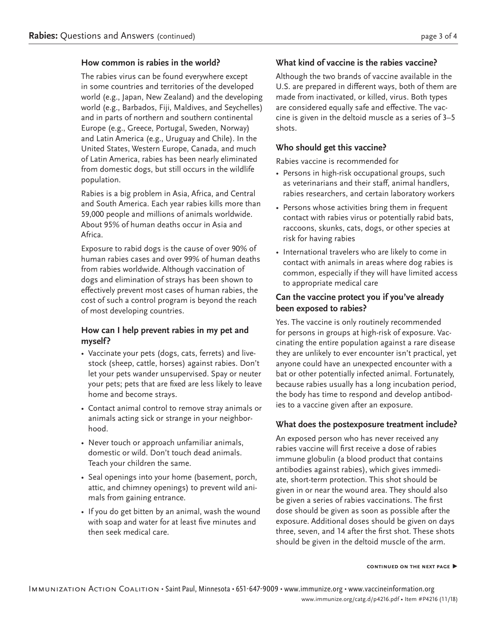#### **How common is rabies in the world?**

The rabies virus can be found everywhere except in some countries and territories of the developed world (e.g., Japan, New Zealand) and the developing world (e.g., Barbados, Fiji, Maldives, and Seychelles) and in parts of northern and southern continental Europe (e.g., Greece, Portugal, Sweden, Norway) and Latin America (e.g., Uruguay and Chile). In the United States, Western Europe, Canada, and much of Latin America, rabies has been nearly eliminated from domestic dogs, but still occurs in the wildlife population.

Rabies is a big problem in Asia, Africa, and Central and South America. Each year rabies kills more than 59,000 people and millions of animals worldwide. About 95% of human deaths occur in Asia and Africa.

Exposure to rabid dogs is the cause of over 90% of human rabies cases and over 99% of human deaths from rabies worldwide. Although vaccination of dogs and elimination of strays has been shown to effectively prevent most cases of human rabies, the cost of such a control program is beyond the reach of most developing countries.

## **How can I help prevent rabies in my pet and myself?**

- Vaccinate your pets (dogs, cats, ferrets) and livestock (sheep, cattle, horses) against rabies. Don't let your pets wander unsupervised. Spay or neuter your pets; pets that are fixed are less likely to leave home and become strays.
- Contact animal control to remove stray animals or animals acting sick or strange in your neighborhood.
- Never touch or approach unfamiliar animals, domestic or wild. Don't touch dead animals. Teach your children the same.
- Seal openings into your home (basement, porch, attic, and chimney openings) to prevent wild animals from gaining entrance.
- If you do get bitten by an animal, wash the wound with soap and water for at least five minutes and then seek medical care.

# **What kind of vaccine is the rabies vaccine?**

Although the two brands of vaccine available in the U.S. are prepared in different ways, both of them are made from inactivated, or killed, virus. Both types are considered equally safe and effective. The vaccine is given in the deltoid muscle as a series of 3–5 shots.

# **Who should get this vaccine?**

Rabies vaccine is recommended for

- Persons in high-risk occupational groups, such as veterinarians and their staff, animal handlers, rabies researchers, and certain laboratory workers
- Persons whose activities bring them in frequent contact with rabies virus or potentially rabid bats, raccoons, skunks, cats, dogs, or other species at risk for having rabies
- International travelers who are likely to come in contact with animals in areas where dog rabies is common, especially if they will have limited access to appropriate medical care

# **Can the vaccine protect you if you've already been exposed to rabies?**

Yes. The vaccine is only routinely recommended for persons in groups at high-risk of exposure. Vaccinating the entire population against a rare disease they are unlikely to ever encounter isn't practical, yet anyone could have an unexpected encounter with a bat or other potentially infected animal. Fortunately, because rabies usually has a long incubation period, the body has time to respond and develop antibodies to a vaccine given after an exposure.

#### **What does the postexposure treatment include?**

An exposed person who has never received any rabies vaccine will first receive a dose of rabies immune globulin (a blood product that contains antibodies against rabies), which gives immediate, short-term protection. This shot should be given in or near the wound area. They should also be given a series of rabies vaccinations. The first dose should be given as soon as possible after the exposure. Additional doses should be given on days three, seven, and 14 after the first shot. These shots should be given in the deltoid muscle of the arm.

#### **continued on the next page ▶**